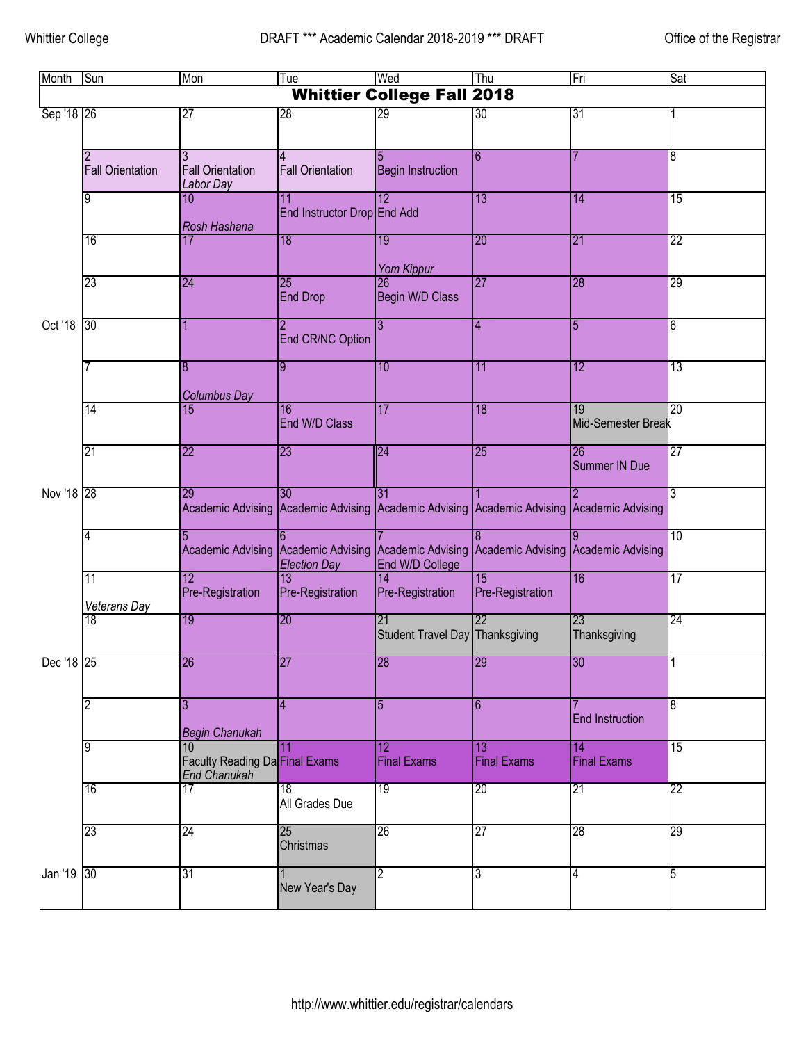| Month                             | Sun                     | Mon                                                  | Tue                                            | Wed                                   | Thu                                                   | Fri                      | Sat             |  |  |
|-----------------------------------|-------------------------|------------------------------------------------------|------------------------------------------------|---------------------------------------|-------------------------------------------------------|--------------------------|-----------------|--|--|
| <b>Whittier College Fall 2018</b> |                         |                                                      |                                                |                                       |                                                       |                          |                 |  |  |
| Sep '18 26<br>Oct '18             |                         | $\overline{27}$                                      | 28                                             | 29                                    | 30                                                    | 31                       |                 |  |  |
|                                   | <b>Fall Orientation</b> | 3<br><b>Fall Orientation</b><br>Labor Day            | <b>Fall Orientation</b>                        | <b>Begin Instruction</b>              | $6\overline{6}$                                       |                          | 8               |  |  |
|                                   | 9                       | 10<br>Rosh Hashana                                   | $\overline{11}$<br>End Instructor Drop End Add | 12                                    | 13                                                    | 14                       | 15              |  |  |
|                                   | 16                      | 17                                                   | $\overline{18}$                                | $\overline{19}$<br><b>Yom Kippur</b>  | 20                                                    | 21                       | 22              |  |  |
|                                   | 23                      | 24                                                   | $\overline{25}$<br><b>End Drop</b>             | 26<br>Begin W/D Class                 | 27                                                    | 28                       | 29              |  |  |
|                                   | 30 <sup>°</sup>         |                                                      | End CR/NC Option                               | $\overline{3}$                        | $\overline{4}$                                        | $\overline{5}$           | $\overline{6}$  |  |  |
|                                   |                         | 8<br><b>Columbus Day</b>                             | 9                                              | 10                                    | 11                                                    | 12                       | 13              |  |  |
|                                   | 14                      | 15                                                   | 16<br>End W/D Class                            | 17                                    | 18                                                    | 19<br>Mid-Semester Break | $\overline{20}$ |  |  |
|                                   | 21                      | $\overline{22}$                                      | 23                                             | 24                                    | 25                                                    | 26<br>Summer IN Due      | $\overline{27}$ |  |  |
| Nov '18 28                        |                         | 29<br><b>Academic Advising</b>                       | 30<br>Academic Advising                        | 31                                    | Academic Advising Academic Advising Academic Advising |                          | 3               |  |  |
|                                   | 4                       | <b>Academic Advising</b>                             | Academic Advising<br><b>Election Day</b>       | Academic Advising<br>End W/D College  | <b>Academic Advising</b>                              | Academic Advising        | $\overline{10}$ |  |  |
|                                   | 11<br>Veterans Day      | $\overline{12}$<br>Pre-Registration                  | $\overline{13}$<br>Pre-Registration            | 14<br>Pre-Registration                | $\overline{15}$<br>Pre-Registration                   | 16                       | 17              |  |  |
|                                   | 18                      | 19                                                   | 20                                             | 21<br>Student Travel Day Thanksgiving | $\overline{22}$                                       | 23<br>Thanksgiving       | 24              |  |  |
| Dec '18   25                      |                         | 26                                                   | 27                                             | 28                                    | 29                                                    | 30                       |                 |  |  |
|                                   | $\overline{2}$          | 3<br><b>Begin Chanukah</b>                           | 4                                              | 5                                     | 6                                                     | <b>End Instruction</b>   | 8               |  |  |
|                                   | 9                       | 10<br>Faculty Reading Da Final Exams<br>End Chanukah | 11                                             | $\overline{12}$<br><b>Final Exams</b> | 13<br><b>Final Exams</b>                              | 14<br><b>Final Exams</b> | 15              |  |  |
|                                   | 16                      | 17                                                   | 18<br>All Grades Due                           | 19                                    | 20                                                    | 21                       | 22              |  |  |
|                                   | 23                      | 24                                                   | 25<br>Christmas                                | $\overline{26}$                       | 27                                                    | 28                       | 29              |  |  |
| Jan '19                           | 30                      | 31                                                   | New Year's Day                                 | $\overline{2}$                        | 3                                                     | 4                        | 5               |  |  |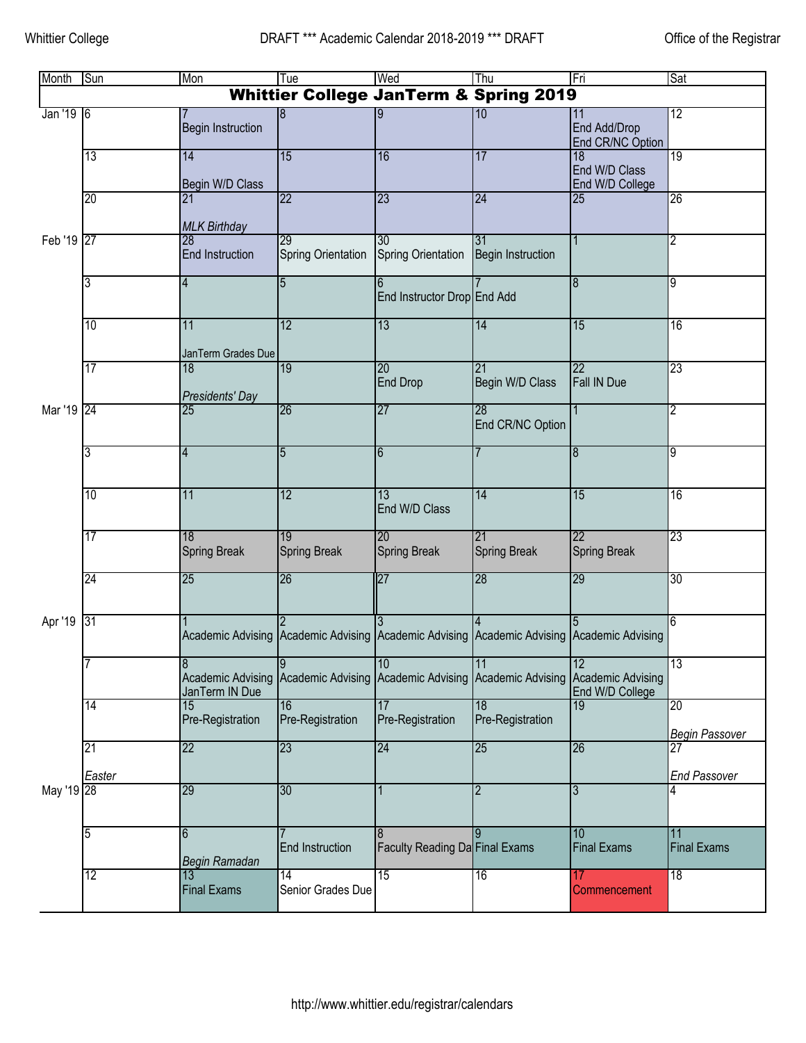| Month                                             | Sun          | Mon                                             | Tue                                    | Wed                                                                     | Thu                            | Fri                                               | Sat                         |  |  |
|---------------------------------------------------|--------------|-------------------------------------------------|----------------------------------------|-------------------------------------------------------------------------|--------------------------------|---------------------------------------------------|-----------------------------|--|--|
| <b>Whittier College JanTerm &amp; Spring 2019</b> |              |                                                 |                                        |                                                                         |                                |                                                   |                             |  |  |
| Jan '19 6                                         |              | <b>Begin Instruction</b>                        | 8                                      |                                                                         | 10                             | 11<br>End Add/Drop<br>End CR/NC Option            | 12                          |  |  |
|                                                   | 13           | 14<br>Begin W/D Class                           | 15                                     | 16                                                                      | 17                             | 18<br>End W/D Class<br>End W/D College            | 19                          |  |  |
|                                                   | 20           | 21<br><b>MLK Birthday</b>                       | $\overline{22}$                        | 23                                                                      | 24                             | 25                                                | 26                          |  |  |
| Feb '19 27                                        |              | 28<br>End Instruction                           | 29<br>Spring Orientation               | 30<br><b>Spring Orientation</b>                                         | 31<br><b>Begin Instruction</b> |                                                   | $\overline{2}$              |  |  |
|                                                   | 3            | $\overline{4}$                                  | $\overline{5}$                         | End Instructor Drop End Add                                             |                                | $\overline{8}$                                    | 9                           |  |  |
|                                                   | 10           | 11<br>JanTerm Grades Due                        | 12                                     | 13                                                                      | 14                             | 15                                                | 16                          |  |  |
|                                                   | 17           | 18<br>Presidents' Day                           | 19                                     | 20<br><b>End Drop</b>                                                   | 21<br>Begin W/D Class          | 22<br>Fall IN Due                                 | 23                          |  |  |
| Mar '19 24                                        |              | 25                                              | 26                                     | 27                                                                      | 28<br>End CR/NC Option         |                                                   | 2                           |  |  |
|                                                   | 3            | $\overline{4}$                                  | $\overline{5}$                         | 6                                                                       |                                | $\boldsymbol{8}$                                  | 9                           |  |  |
|                                                   | 10           | 11                                              | 12                                     | 13<br>End W/D Class                                                     | 14                             | 15                                                | 16                          |  |  |
|                                                   | 17           | 18<br><b>Spring Break</b>                       | $\overline{19}$<br><b>Spring Break</b> | 20<br><b>Spring Break</b>                                               | 21<br><b>Spring Break</b>      | 22<br><b>Spring Break</b>                         | $\overline{23}$             |  |  |
|                                                   | 24           | 25                                              | 26                                     | 27                                                                      | 28                             | 29                                                | 30 <sup>°</sup>             |  |  |
| Apr '19                                           | 31           |                                                 |                                        | Academic Advising Academic Advising Academic Advising Academic Advising |                                | Academic Advising                                 | 6                           |  |  |
|                                                   |              | 8<br><b>Academic Advising</b><br>JanTerm IN Due | $\overline{9}$<br>Academic Advising    | 10<br>Academic Advising                                                 | 11<br>Academic Advising        | 12<br><b>Academic Advising</b><br>End W/D College | 13                          |  |  |
|                                                   | 14           | 15<br>Pre-Registration                          | 16<br>Pre-Registration                 | 17<br>Pre-Registration                                                  | 18<br>Pre-Registration         | 19                                                | 20<br><b>Begin Passover</b> |  |  |
|                                                   | 21<br>Easter | $\overline{22}$                                 | 23                                     | 24                                                                      | 25                             | 26                                                | 27<br><b>End Passover</b>   |  |  |
| May '19 28                                        |              | 29                                              | 30                                     |                                                                         | $\overline{2}$                 | 3                                                 |                             |  |  |
|                                                   | 5            | 6<br>Begin Ramadan                              | End Instruction                        | Faculty Reading Da Final Exams                                          |                                | 10<br><b>Final Exams</b>                          | 11<br><b>Final Exams</b>    |  |  |
|                                                   | 12           | 13<br><b>Final Exams</b>                        | $\overline{14}$<br>Senior Grades Due   | 15                                                                      | 16                             | 17<br>Commencement                                | 18                          |  |  |